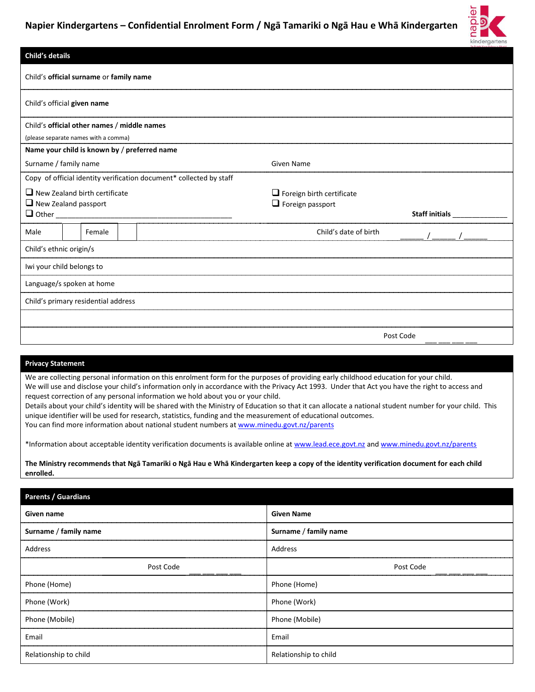

| <b>Child's details</b>              |                                                                     |                                             |                                                                     |                                                             |                       |  |
|-------------------------------------|---------------------------------------------------------------------|---------------------------------------------|---------------------------------------------------------------------|-------------------------------------------------------------|-----------------------|--|
|                                     |                                                                     | Child's official surname or family name     |                                                                     |                                                             |                       |  |
| Child's official given name         |                                                                     |                                             |                                                                     |                                                             |                       |  |
|                                     |                                                                     | Child's official other names / middle names |                                                                     |                                                             |                       |  |
|                                     |                                                                     | (please separate names with a comma)        |                                                                     |                                                             |                       |  |
|                                     |                                                                     |                                             | Name your child is known by / preferred name                        |                                                             |                       |  |
|                                     | Surname / family name                                               |                                             |                                                                     | <b>Given Name</b>                                           |                       |  |
|                                     |                                                                     |                                             | Copy of official identity verification document* collected by staff |                                                             |                       |  |
|                                     | $\Box$ New Zealand birth certificate<br>$\Box$ New Zealand passport |                                             |                                                                     | $\Box$ Foreign birth certificate<br>$\Box$ Foreign passport |                       |  |
| $\Box$ Other                        |                                                                     |                                             |                                                                     |                                                             | <b>Staff initials</b> |  |
| Male                                |                                                                     | Female                                      |                                                                     | Child's date of birth                                       |                       |  |
|                                     | Child's ethnic origin/s                                             |                                             |                                                                     |                                                             |                       |  |
|                                     | Iwi your child belongs to                                           |                                             |                                                                     |                                                             |                       |  |
| Language/s spoken at home           |                                                                     |                                             |                                                                     |                                                             |                       |  |
| Child's primary residential address |                                                                     |                                             |                                                                     |                                                             |                       |  |
|                                     |                                                                     |                                             |                                                                     |                                                             |                       |  |
|                                     |                                                                     |                                             |                                                                     |                                                             | Post Code             |  |

#### **Privacy Statement**

We are collecting personal information on this enrolment form for the purposes of providing early childhood education for your child. We will use and disclose your child's information only in accordance with the Privacy Act 1993. Under that Act you have the right to access and request correction of any personal information we hold about you or your child.

Details about your child's identity will be shared with the Ministry of Education so that it can allocate a national student number for your child. This unique identifier will be used for research, statistics, funding and the measurement of educational outcomes. You can find more information about national student numbers a[t www.minedu.govt.nz/parents](http://www.minedu.govt.nz/parents)

\*Information about acceptable identity verification documents is available online at [www.lead.ece.govt.nz](http://www.lead.ece.govt.nz/) and [www.minedu.govt.nz/parents](http://www.minedu.govt.nz/parents)

**The Ministry recommends that Ngā Tamariki o Ngā Hau e Whā Kindergarten keep a copy of the identity verification document for each child enrolled.**

| Parents / Guardians   |                       |
|-----------------------|-----------------------|
| Given name            | <b>Given Name</b>     |
| Surname / family name | Surname / family name |
| Address               | Address               |
| Post Code             | Post Code             |
| Phone (Home)          | Phone (Home)          |
| Phone (Work)          | Phone (Work)          |
| Phone (Mobile)        | Phone (Mobile)        |
| Email                 | Email                 |
| Relationship to child | Relationship to child |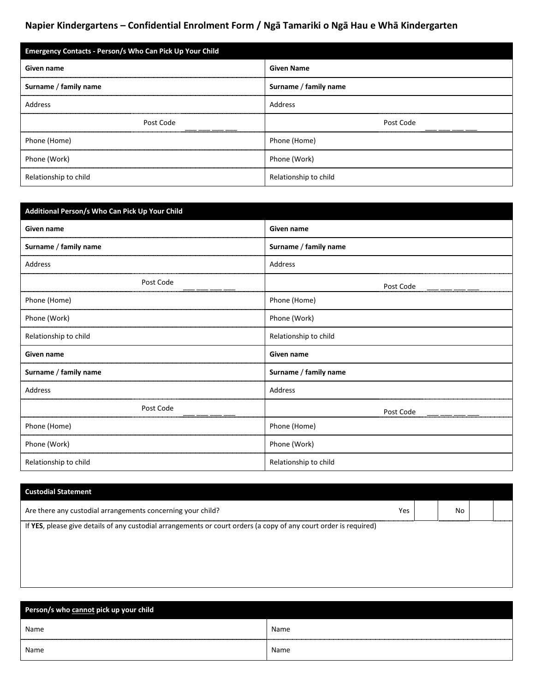| <b>Emergency Contacts - Person/s Who Can Pick Up Your Child</b> |                       |  |  |  |
|-----------------------------------------------------------------|-----------------------|--|--|--|
| Given name                                                      | <b>Given Name</b>     |  |  |  |
| Surname / family name                                           | Surname / family name |  |  |  |
| Address                                                         | Address               |  |  |  |
| Post Code                                                       | Post Code             |  |  |  |
| Phone (Home)                                                    | Phone (Home)          |  |  |  |
| Phone (Work)                                                    | Phone (Work)          |  |  |  |
| Relationship to child                                           | Relationship to child |  |  |  |

| Additional Person/s Who Can Pick Up Your Child |                       |  |  |
|------------------------------------------------|-----------------------|--|--|
| Given name                                     | Given name            |  |  |
| Surname / family name                          | Surname / family name |  |  |
| Address                                        | Address               |  |  |
| Post Code                                      | Post Code             |  |  |
| Phone (Home)                                   | Phone (Home)          |  |  |
| Phone (Work)                                   | Phone (Work)          |  |  |
| Relationship to child                          | Relationship to child |  |  |
| Given name                                     | Given name            |  |  |
| Surname / family name                          | Surname / family name |  |  |
| Address                                        | Address               |  |  |
| Post Code                                      | Post Code             |  |  |
| Phone (Home)                                   | Phone (Home)          |  |  |
| Phone (Work)                                   | Phone (Work)          |  |  |
| Relationship to child                          | Relationship to child |  |  |

| <b>Custodial Statement</b>                                                                                        |     |  |    |  |  |  |  |
|-------------------------------------------------------------------------------------------------------------------|-----|--|----|--|--|--|--|
| Are there any custodial arrangements concerning your child?                                                       | Yes |  | No |  |  |  |  |
| If YES, please give details of any custodial arrangements or court orders (a copy of any court order is required) |     |  |    |  |  |  |  |
|                                                                                                                   |     |  |    |  |  |  |  |
|                                                                                                                   |     |  |    |  |  |  |  |

| Person/s who cannot pick up your child |      |  |  |  |  |
|----------------------------------------|------|--|--|--|--|
| Name                                   | Name |  |  |  |  |
| Name                                   | Name |  |  |  |  |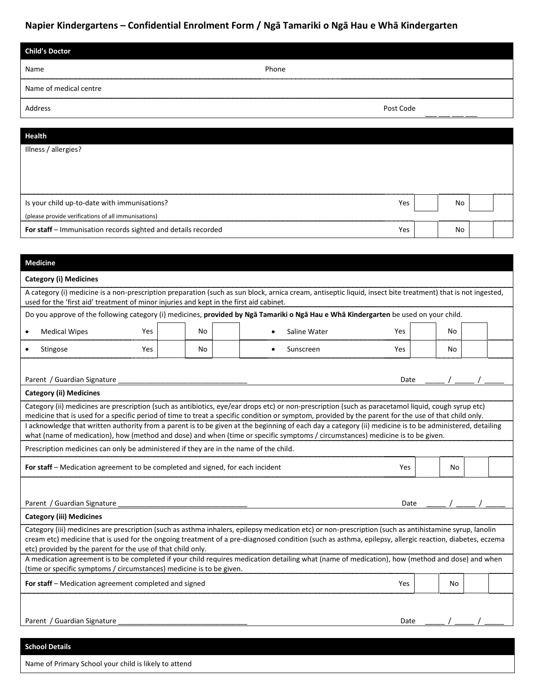| <b>Child's Doctor</b>                               |           |     |    |
|-----------------------------------------------------|-----------|-----|----|
| Name                                                | Phone     |     |    |
| Name of medical centre                              |           |     |    |
| Address                                             | Post Code |     |    |
|                                                     |           |     |    |
| <b>Health</b>                                       |           |     |    |
| Illness / allergies?                                |           |     |    |
|                                                     |           |     |    |
|                                                     |           |     |    |
|                                                     |           |     |    |
| Is your child up-to-date with immunisations?        |           | Yes | No |
| (please provide verifications of all immunisations) |           |     |    |

**For staff** – Immunisation records sighted and details recorded Yes No

#### **Medicine**

|                                                                                | <b>Category (i) Medicines</b>                                                                                                        |     |     |                                                                                                                                                                                                                                                                                                                  |            |     |  |  |
|--------------------------------------------------------------------------------|--------------------------------------------------------------------------------------------------------------------------------------|-----|-----|------------------------------------------------------------------------------------------------------------------------------------------------------------------------------------------------------------------------------------------------------------------------------------------------------------------|------------|-----|--|--|
|                                                                                | used for the 'first aid' treatment of minor injuries and kept in the first aid cabinet.                                              |     |     | A category (i) medicine is a non-prescription preparation (such as sun block, arnica cream, antiseptic liquid, insect bite treatment) that is not ingested,                                                                                                                                                      |            |     |  |  |
|                                                                                | Do you approve of the following category (i) medicines, provided by Nga Tamariki o Nga Hau e Wha Kindergarten be used on your child. |     |     |                                                                                                                                                                                                                                                                                                                  |            |     |  |  |
|                                                                                | <b>Medical Wipes</b>                                                                                                                 | Yes | No  | Saline Water                                                                                                                                                                                                                                                                                                     | <b>Yes</b> | No  |  |  |
|                                                                                | Stingose                                                                                                                             | Yes | No  | Sunscreen                                                                                                                                                                                                                                                                                                        | <b>Yes</b> | No. |  |  |
|                                                                                | Parent / Guardian Signature                                                                                                          |     |     |                                                                                                                                                                                                                                                                                                                  | Date       |     |  |  |
|                                                                                | <b>Category (ii) Medicines</b>                                                                                                       |     |     |                                                                                                                                                                                                                                                                                                                  |            |     |  |  |
|                                                                                |                                                                                                                                      |     |     | Category (ii) medicines are prescription (such as antibiotics, eye/ear drops etc) or non-prescription (such as paracetamol liquid, cough syrup etc)<br>medicine that is used for a specific period of time to treat a specific condition or symptom, provided by the parent for the use of that child only.      |            |     |  |  |
|                                                                                |                                                                                                                                      |     |     | I acknowledge that written authority from a parent is to be given at the beginning of each day a category (ii) medicine is to be administered, detailing<br>what (name of medication), how (method and dose) and when (time or specific symptoms / circumstances) medicine is to be given.                       |            |     |  |  |
|                                                                                | Prescription medicines can only be administered if they are in the name of the child.                                                |     |     |                                                                                                                                                                                                                                                                                                                  |            |     |  |  |
| For staff – Medication agreement to be completed and signed, for each incident |                                                                                                                                      |     | Yes | No                                                                                                                                                                                                                                                                                                               |            |     |  |  |
|                                                                                |                                                                                                                                      |     |     |                                                                                                                                                                                                                                                                                                                  |            |     |  |  |
|                                                                                | Parent / Guardian Signature                                                                                                          |     |     |                                                                                                                                                                                                                                                                                                                  | Date       |     |  |  |
|                                                                                | <b>Category (iii) Medicines</b>                                                                                                      |     |     |                                                                                                                                                                                                                                                                                                                  |            |     |  |  |
|                                                                                | etc) provided by the parent for the use of that child only.                                                                          |     |     | Category (iii) medicines are prescription (such as asthma inhalers, epilepsy medication etc) or non-prescription (such as antihistamine syrup, lanolin<br>cream etc) medicine that is used for the ongoing treatment of a pre-diagnosed condition (such as asthma, epilepsy, allergic reaction, diabetes, eczema |            |     |  |  |
|                                                                                | (time or specific symptoms / circumstances) medicine is to be given.                                                                 |     |     | A medication agreement is to be completed if your child requires medication detailing what (name of medication), how (method and dose) and when                                                                                                                                                                  |            |     |  |  |
|                                                                                | For staff - Medication agreement completed and signed                                                                                |     |     |                                                                                                                                                                                                                                                                                                                  | Yes        | No  |  |  |
|                                                                                |                                                                                                                                      |     |     |                                                                                                                                                                                                                                                                                                                  |            |     |  |  |
|                                                                                | Parent / Guardian Signature                                                                                                          |     |     |                                                                                                                                                                                                                                                                                                                  | Date       |     |  |  |

### **School Details**

Name of Primary School your child is likely to attend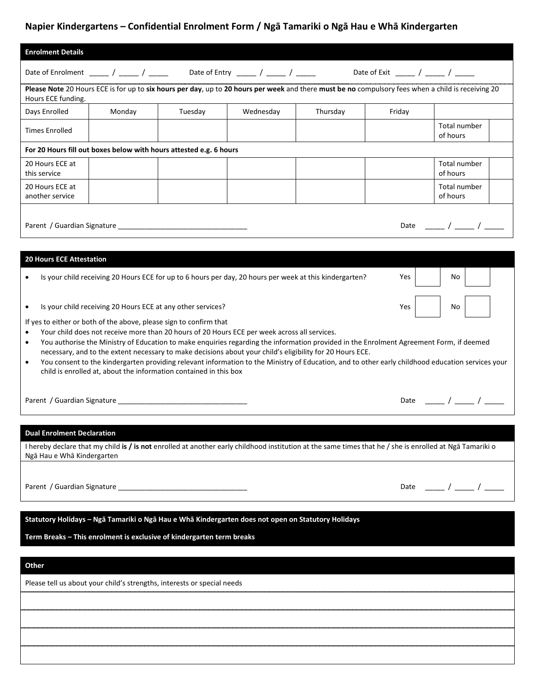| <b>Enrolment Details</b>                                        |                                                                                                                                                                                                                                                                                                                                                                                                                                                                                                 |         |           |          |        |                                                                                                                                                    |
|-----------------------------------------------------------------|-------------------------------------------------------------------------------------------------------------------------------------------------------------------------------------------------------------------------------------------------------------------------------------------------------------------------------------------------------------------------------------------------------------------------------------------------------------------------------------------------|---------|-----------|----------|--------|----------------------------------------------------------------------------------------------------------------------------------------------------|
|                                                                 | Date of Enrolment ______ / _____ / _____ Date of Entry _____ / _____ / _____ Date of Exit _____ / _____ / _____                                                                                                                                                                                                                                                                                                                                                                                 |         |           |          |        |                                                                                                                                                    |
| Hours ECE funding.                                              |                                                                                                                                                                                                                                                                                                                                                                                                                                                                                                 |         |           |          |        | Please Note 20 Hours ECE is for up to six hours per day, up to 20 hours per week and there must be no compulsory fees when a child is receiving 20 |
| Days Enrolled                                                   | Monday                                                                                                                                                                                                                                                                                                                                                                                                                                                                                          | Tuesday | Wednesday | Thursday | Friday |                                                                                                                                                    |
| <b>Times Enrolled</b>                                           |                                                                                                                                                                                                                                                                                                                                                                                                                                                                                                 |         |           |          |        | Total number<br>of hours                                                                                                                           |
|                                                                 | For 20 Hours fill out boxes below with hours attested e.g. 6 hours                                                                                                                                                                                                                                                                                                                                                                                                                              |         |           |          |        |                                                                                                                                                    |
| 20 Hours ECE at<br>this service                                 |                                                                                                                                                                                                                                                                                                                                                                                                                                                                                                 |         |           |          |        | Total number<br>of hours                                                                                                                           |
| 20 Hours ECE at<br>another service                              |                                                                                                                                                                                                                                                                                                                                                                                                                                                                                                 |         |           |          |        | Total number<br>of hours                                                                                                                           |
|                                                                 |                                                                                                                                                                                                                                                                                                                                                                                                                                                                                                 |         |           |          |        | Date ____ / ___ / ____                                                                                                                             |
|                                                                 |                                                                                                                                                                                                                                                                                                                                                                                                                                                                                                 |         |           |          |        |                                                                                                                                                    |
| <b>20 Hours ECE Attestation</b>                                 |                                                                                                                                                                                                                                                                                                                                                                                                                                                                                                 |         |           |          |        |                                                                                                                                                    |
|                                                                 | Is your child receiving 20 Hours ECE for up to 6 hours per day, 20 hours per week at this kindergarten?                                                                                                                                                                                                                                                                                                                                                                                         |         |           |          | Yes    | No.                                                                                                                                                |
| ٠                                                               | Is your child receiving 20 Hours ECE at any other services?                                                                                                                                                                                                                                                                                                                                                                                                                                     |         |           |          | Yes    | No.                                                                                                                                                |
| $\bullet$<br>$\bullet$<br>$\bullet$                             | If yes to either or both of the above, please sign to confirm that<br>Your child does not receive more than 20 hours of 20 Hours ECE per week across all services.<br>You authorise the Ministry of Education to make enquiries regarding the information provided in the Enrolment Agreement Form, if deemed<br>necessary, and to the extent necessary to make decisions about your child's eligibility for 20 Hours ECE.<br>child is enrolled at, about the information contained in this box |         |           |          |        | You consent to the kindergarten providing relevant information to the Ministry of Education, and to other early childhood education services your  |
|                                                                 |                                                                                                                                                                                                                                                                                                                                                                                                                                                                                                 |         |           |          |        | Date _____ / ____ / _____                                                                                                                          |
| <b>Dual Enrolment Declaration</b><br>Ngā Hau e Whā Kindergarten | I hereby declare that my child is / is not enrolled at another early childhood institution at the same times that he / she is enrolled at Nga Tamariki o                                                                                                                                                                                                                                                                                                                                        |         |           |          |        |                                                                                                                                                    |
|                                                                 |                                                                                                                                                                                                                                                                                                                                                                                                                                                                                                 |         |           |          |        | Date _____ / ____ / _____                                                                                                                          |
|                                                                 | Statutory Holidays - Ngā Tamariki o Ngā Hau e Whā Kindergarten does not open on Statutory Holidays                                                                                                                                                                                                                                                                                                                                                                                              |         |           |          |        |                                                                                                                                                    |
|                                                                 | Term Breaks - This enrolment is exclusive of kindergarten term breaks                                                                                                                                                                                                                                                                                                                                                                                                                           |         |           |          |        |                                                                                                                                                    |
| Other                                                           |                                                                                                                                                                                                                                                                                                                                                                                                                                                                                                 |         |           |          |        |                                                                                                                                                    |
|                                                                 | Please tell us about your child's strengths, interests or special needs                                                                                                                                                                                                                                                                                                                                                                                                                         |         |           |          |        |                                                                                                                                                    |
|                                                                 |                                                                                                                                                                                                                                                                                                                                                                                                                                                                                                 |         |           |          |        |                                                                                                                                                    |